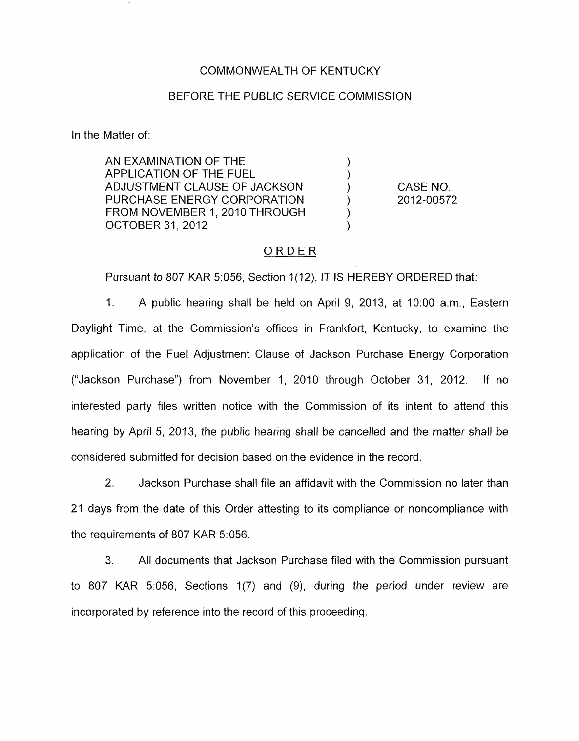### COMMONWEALTH OF KENTUCKY

#### BEFORE THE PUBLIC SERVICE COMMISSION

In the Matter of:

AN EXAMINATION OF THE ) APPLICATION OF THE FUEL (1998)<br>ADJUSTMENT CLAUSE OF JACKSON (1998) ADJUSTMENT CLAUSE OF JACKSON  $)$ <br>PURCHASE ENERGY CORPORATION  $)$ PURCHASE ENERGY CORPORATION  $\left( \begin{array}{cc} 0 & 0 \\ 0 & 0 \end{array} \right)$ FROM NOVEMBER 1, 2010 THROUGH OCTOBER 31 , 2012 )

CASE NO. 2012-00572

## ORDER

Pursuant to 807 KAR 5:056, Section 1(12), IT IS HEREBY ORDERED that:

1. A public hearing shall be held on April 9, 2013, at 1O:OO a.m., Eastern Daylight Time, at the Commission's offices in Frankfort, Kentucky, to examine the application of the Fuel Adjustment Clause of Jackson Purchase Energy Corporation ("Jackson Purchase") from November 1, 2010 through October 31, 2012. If no interested party files written notice with the Commission of its intent to attend this hearing by April 5, 2013, the public hearing shall be cancelled and the matter shall be considered submitted for decision based on the evidence in the record

2. Jackson Purchase shall file an affidavit with the Commission no later than 21 days from the date of this Order attesting to its compliance or noncompliance with the requirements of 807 KAR 5:056.

**3.** All documents that Jackson Purchase filed with the Commission pursuant to 807 KAR 5:056, Sections 1(7) and (9), during the period under review are incorporated by reference into the record of this proceeding.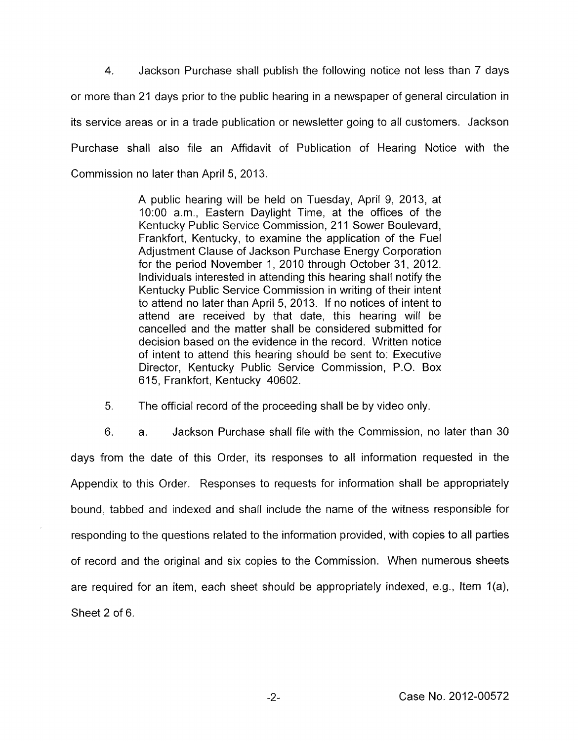**4.** Jackson Purchase shall publish the following notice not less than 7 days or more than 21 days prior to the public hearing in a newspaper of general circulation in its service areas or in a trade publication or newsletter going to all customers. Jackson Purchase shall also file an Affidavit of Publication of Hearing Notice with the Commission no later than April 5, 2013.

> A public hearing will be held on Tuesday, April 9, 2013, at 1O:OO a.m., Eastern Daylight Time, at the offices of the Kentucky Public Service Commission, 211 Sower Boulevard, Frankfort, Kentucky, to examine the application of the Fuel Adjustment Clause of Jackson Purchase Energy Corporation for the period November 1, 2010 through October 31, 2012. Individuals interested in attending this hearing shall notify the Kentucky Public Service Commission in writing of their intent to attend no later than April 5, 2013. If no notices of intent to attend are received by that date, this hearing will be cancelled and the matter shall be considered submitted for decision based on the evidence in the record. Written notice of intent to attend this hearing should be sent to: Executive Director, Kentucky Public Service Commission, P.O. Box 615, Frankfort, Kentucky 40602.

*5.* The official record of the proceeding shall be by video only.

6. a. Jackson Purchase shall file with the Commission, no later than 30 days from the date of this Order, its responses to all information requested in the Appendix to this Order. Responses to requests for information shall be appropriately bound, tabbed and indexed and shall include the name of the witness responsible for responding to the questions related to the information provided, with copies to all parties of record and the original and six copies to the Commission. When numerous sheets are required for an item, each sheet should be appropriately indexed, e.g., Item 1(a), Sheet 2 of 6.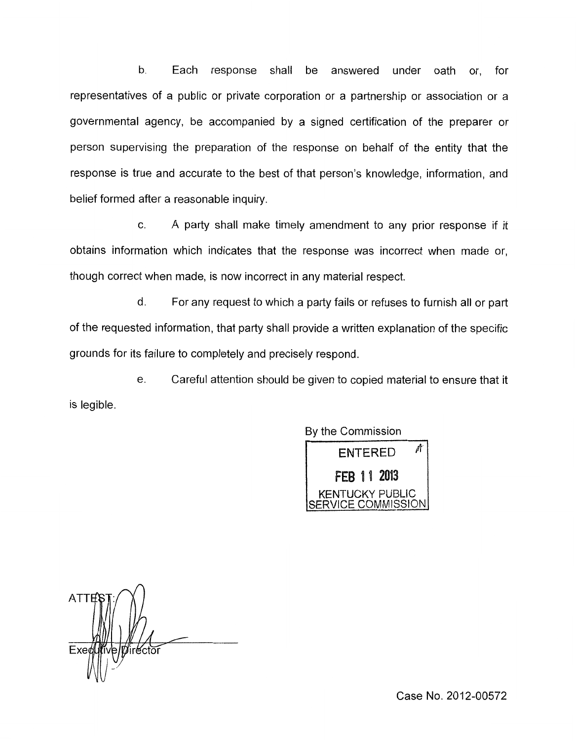b. Each response shall be answered under oath or, for representatives of a public or private corporation or a partnership or association or a governmental agency, be accompanied by a signed certification of the preparer or person supervising the preparation of the response on behalf of the entity that the response is true and accurate to the best of that person's knowledge, information, and belief formed after a reasonable inquiry

c. A party shall make timely amendment to any prior response if it obtains information which indicates that the response was incorrect when made or, though correct when made, is now incorrect in any material respect.

d. For any request to which a party fails or refuses to furnish all or part of the requested information, that party shall provide a written explanation of the specific grounds for its failure to completely and precisely respond.

e. Careful attention should be given to copied material to ensure that it is legible.

By the Commission

 $ENTERED$   $M$ **FEB 11 2013**<br>KENTUCKY PUBLIC SE RVI *C* E *CO* Mas <sup>S</sup>I *0* <sup>N</sup>

**ATTE** Exe irector

Case No. 2012-00572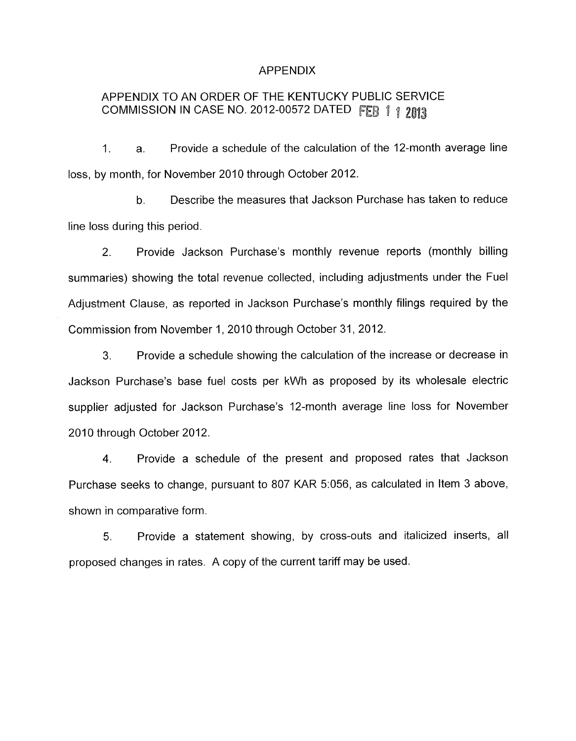### APPENDIX

# APPENDIX TO AN ORDER OF THE KENTUCKY PUBLIC SERVICE COMMISSION IN CASE NO. 2012-00572 DATED FEB 1 1 2013

1. a. Provide a schedule of the calculation of the 12-month average line loss, by month, for November 2010 through October 2012.

b. Describe the measures that Jackson Purchase has taken to reduce line loss during this period.

2. Provide Jackson Purchase's monthly revenue reports (monthly billing summaries) showing the total revenue collected, including adjustments under the Fuel Adjustment Clause, as reported in Jackson Purchase's monthly filings required by the Commission from November 1, 2010 through October 31, 2012.

*3.* Provide a schedule showing the calculation of the increase or decrease in Jackson Purchase's base fuel costs per kWh as proposed by its wholesale electric supplier adjusted for Jackson Purchase's 12-month average line loss for November 2010 through October 2012.

**4.** Provide a schedule of the present and proposed rates that Jackson Purchase seeks to change, pursuant to 807 KAR 5:056, as calculated in Item 3 above, shown in comparative form.

*5.* Provide a statement showing, by cross-outs and italicized inserts, all proposed changes in rates. A copy of the current tariff may be used.